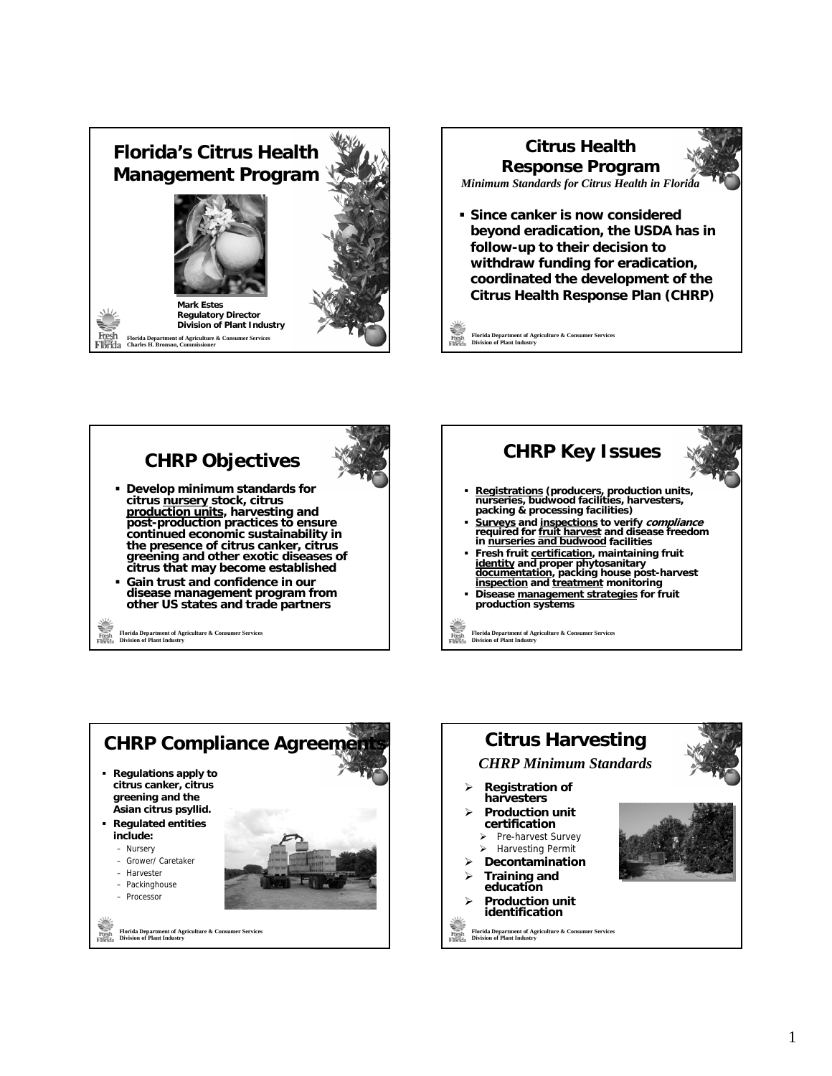









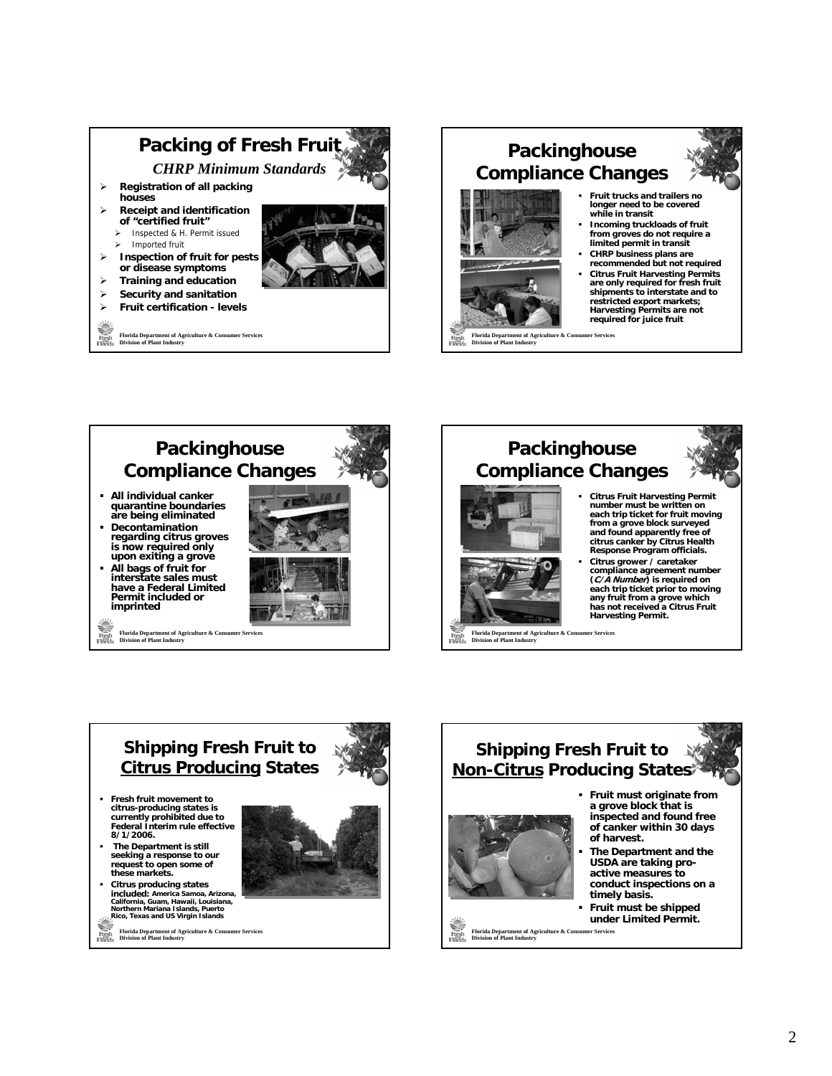

## **Packinghouse Compliance Changes**



**Division of Plant Industry**

- **Fruit trucks and trailers no longer need to be covered while in transit**
- **Incoming truckloads of fruit from groves do not require a limited permit in transit**
- **CHRP business plans are recommended but not required**
- **Citrus Fruit Harvesting Permits are only required for fresh fruit shipments to interstate and to restricted export markets; Harvesting Permits are not required for juice fruit**

**Florida Department of Agriculture & Consumer Services Division of Plant Industry Packinghouse Compliance Changes All individual canker quarantine boundaries are being eliminated Decontamination regarding citrus groves is now required only upon exiting a grove All bags of fruit for interstate sales must have a Federal Limited Permit included or imprinted** 





- **Response Program officials. Citrus grower / caretaker compliance agreement number (C/A Number) is required on each trip ticket prior to moving**
- **any fruit from a grove which has not received a Citrus Fruit Harvesting Permit.**